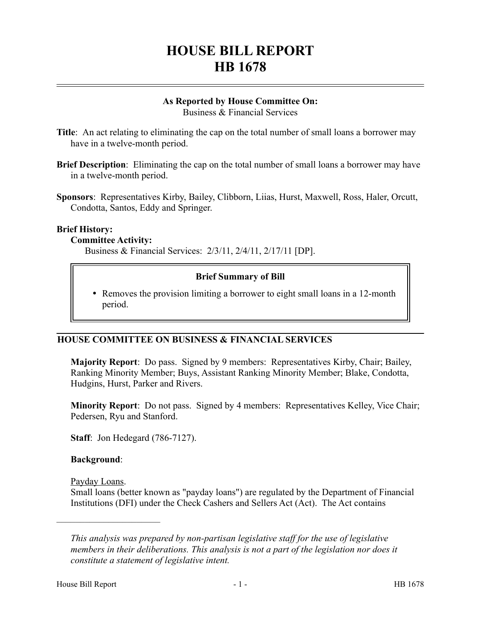# **HOUSE BILL REPORT HB 1678**

#### **As Reported by House Committee On:** Business & Financial Services

**Title**: An act relating to eliminating the cap on the total number of small loans a borrower may have in a twelve-month period.

- **Brief Description**: Eliminating the cap on the total number of small loans a borrower may have in a twelve-month period.
- **Sponsors**: Representatives Kirby, Bailey, Clibborn, Liias, Hurst, Maxwell, Ross, Haler, Orcutt, Condotta, Santos, Eddy and Springer.

#### **Brief History:**

#### **Committee Activity:**

Business & Financial Services: 2/3/11, 2/4/11, 2/17/11 [DP].

#### **Brief Summary of Bill**

 Removes the provision limiting a borrower to eight small loans in a 12-month period.

### **HOUSE COMMITTEE ON BUSINESS & FINANCIAL SERVICES**

**Majority Report**: Do pass. Signed by 9 members: Representatives Kirby, Chair; Bailey, Ranking Minority Member; Buys, Assistant Ranking Minority Member; Blake, Condotta, Hudgins, Hurst, Parker and Rivers.

**Minority Report**: Do not pass. Signed by 4 members: Representatives Kelley, Vice Chair; Pedersen, Ryu and Stanford.

**Staff**: Jon Hedegard (786-7127).

#### **Background**:

Payday Loans.

––––––––––––––––––––––

Small loans (better known as "payday loans") are regulated by the Department of Financial Institutions (DFI) under the Check Cashers and Sellers Act (Act). The Act contains

*This analysis was prepared by non-partisan legislative staff for the use of legislative members in their deliberations. This analysis is not a part of the legislation nor does it constitute a statement of legislative intent.*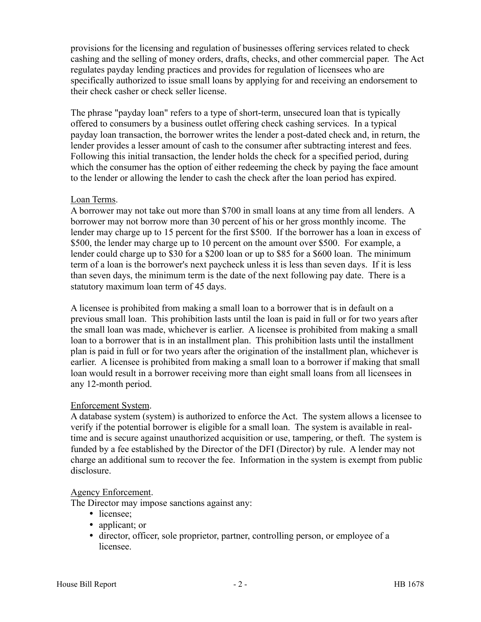provisions for the licensing and regulation of businesses offering services related to check cashing and the selling of money orders, drafts, checks, and other commercial paper. The Act regulates payday lending practices and provides for regulation of licensees who are specifically authorized to issue small loans by applying for and receiving an endorsement to their check casher or check seller license.

The phrase "payday loan" refers to a type of short-term, unsecured loan that is typically offered to consumers by a business outlet offering check cashing services. In a typical payday loan transaction, the borrower writes the lender a post-dated check and, in return, the lender provides a lesser amount of cash to the consumer after subtracting interest and fees. Following this initial transaction, the lender holds the check for a specified period, during which the consumer has the option of either redeeming the check by paying the face amount to the lender or allowing the lender to cash the check after the loan period has expired.

#### Loan Terms.

A borrower may not take out more than \$700 in small loans at any time from all lenders. A borrower may not borrow more than 30 percent of his or her gross monthly income. The lender may charge up to 15 percent for the first \$500. If the borrower has a loan in excess of \$500, the lender may charge up to 10 percent on the amount over \$500. For example, a lender could charge up to \$30 for a \$200 loan or up to \$85 for a \$600 loan. The minimum term of a loan is the borrower's next paycheck unless it is less than seven days. If it is less than seven days, the minimum term is the date of the next following pay date. There is a statutory maximum loan term of 45 days.

A licensee is prohibited from making a small loan to a borrower that is in default on a previous small loan. This prohibition lasts until the loan is paid in full or for two years after the small loan was made, whichever is earlier. A licensee is prohibited from making a small loan to a borrower that is in an installment plan. This prohibition lasts until the installment plan is paid in full or for two years after the origination of the installment plan, whichever is earlier. A licensee is prohibited from making a small loan to a borrower if making that small loan would result in a borrower receiving more than eight small loans from all licensees in any 12-month period.

### Enforcement System.

A database system (system) is authorized to enforce the Act. The system allows a licensee to verify if the potential borrower is eligible for a small loan. The system is available in realtime and is secure against unauthorized acquisition or use, tampering, or theft. The system is funded by a fee established by the Director of the DFI (Director) by rule. A lender may not charge an additional sum to recover the fee. Information in the system is exempt from public disclosure.

#### Agency Enforcement.

The Director may impose sanctions against any:

- licensee;
- applicant; or
- director, officer, sole proprietor, partner, controlling person, or employee of a licensee.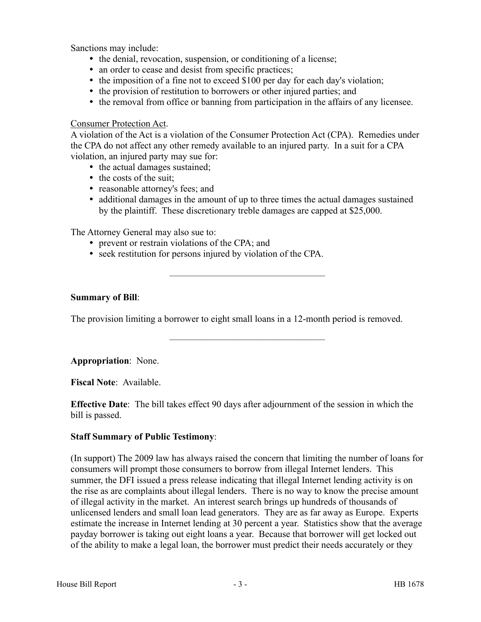Sanctions may include:

- the denial, revocation, suspension, or conditioning of a license;
- an order to cease and desist from specific practices;
- the imposition of a fine not to exceed \$100 per day for each day's violation;
- the provision of restitution to borrowers or other injured parties; and
- the removal from office or banning from participation in the affairs of any licensee.

### Consumer Protection Act.

A violation of the Act is a violation of the Consumer Protection Act (CPA). Remedies under the CPA do not affect any other remedy available to an injured party. In a suit for a CPA violation, an injured party may sue for:

- the actual damages sustained;
- the costs of the suit;
- reasonable attorney's fees; and
- additional damages in the amount of up to three times the actual damages sustained by the plaintiff. These discretionary treble damages are capped at \$25,000.

The Attorney General may also sue to:

- prevent or restrain violations of the CPA; and
- seek restitution for persons injured by violation of the CPA.

## **Summary of Bill**:

The provision limiting a borrower to eight small loans in a 12-month period is removed.

–––––––––––––––––––––––––––––––––

–––––––––––––––––––––––––––––––––

**Appropriation**: None.

**Fiscal Note**: Available.

**Effective Date**: The bill takes effect 90 days after adjournment of the session in which the bill is passed.

## **Staff Summary of Public Testimony**:

(In support) The 2009 law has always raised the concern that limiting the number of loans for consumers will prompt those consumers to borrow from illegal Internet lenders. This summer, the DFI issued a press release indicating that illegal Internet lending activity is on the rise as are complaints about illegal lenders. There is no way to know the precise amount of illegal activity in the market. An interest search brings up hundreds of thousands of unlicensed lenders and small loan lead generators. They are as far away as Europe. Experts estimate the increase in Internet lending at 30 percent a year. Statistics show that the average payday borrower is taking out eight loans a year. Because that borrower will get locked out of the ability to make a legal loan, the borrower must predict their needs accurately or they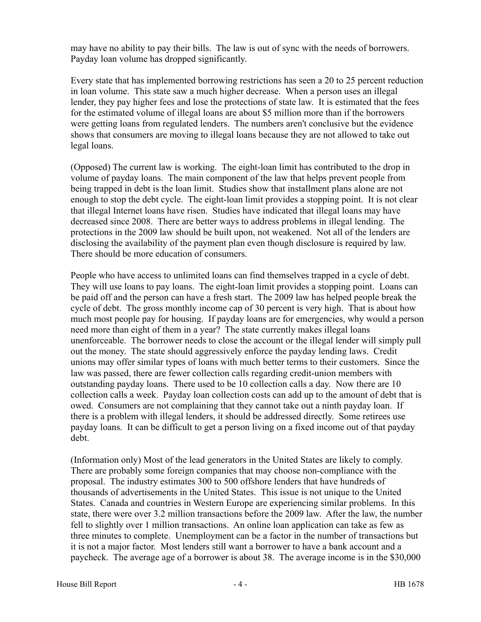may have no ability to pay their bills. The law is out of sync with the needs of borrowers. Payday loan volume has dropped significantly.

Every state that has implemented borrowing restrictions has seen a 20 to 25 percent reduction in loan volume. This state saw a much higher decrease. When a person uses an illegal lender, they pay higher fees and lose the protections of state law. It is estimated that the fees for the estimated volume of illegal loans are about \$5 million more than if the borrowers were getting loans from regulated lenders. The numbers aren't conclusive but the evidence shows that consumers are moving to illegal loans because they are not allowed to take out legal loans.

(Opposed) The current law is working. The eight-loan limit has contributed to the drop in volume of payday loans. The main component of the law that helps prevent people from being trapped in debt is the loan limit. Studies show that installment plans alone are not enough to stop the debt cycle. The eight-loan limit provides a stopping point. It is not clear that illegal Internet loans have risen. Studies have indicated that illegal loans may have decreased since 2008. There are better ways to address problems in illegal lending. The protections in the 2009 law should be built upon, not weakened. Not all of the lenders are disclosing the availability of the payment plan even though disclosure is required by law. There should be more education of consumers.

People who have access to unlimited loans can find themselves trapped in a cycle of debt. They will use loans to pay loans. The eight-loan limit provides a stopping point. Loans can be paid off and the person can have a fresh start. The 2009 law has helped people break the cycle of debt. The gross monthly income cap of 30 percent is very high. That is about how much most people pay for housing. If payday loans are for emergencies, why would a person need more than eight of them in a year? The state currently makes illegal loans unenforceable. The borrower needs to close the account or the illegal lender will simply pull out the money. The state should aggressively enforce the payday lending laws. Credit unions may offer similar types of loans with much better terms to their customers. Since the law was passed, there are fewer collection calls regarding credit-union members with outstanding payday loans. There used to be 10 collection calls a day. Now there are 10 collection calls a week. Payday loan collection costs can add up to the amount of debt that is owed. Consumers are not complaining that they cannot take out a ninth payday loan. If there is a problem with illegal lenders, it should be addressed directly. Some retirees use payday loans. It can be difficult to get a person living on a fixed income out of that payday debt.

(Information only) Most of the lead generators in the United States are likely to comply. There are probably some foreign companies that may choose non-compliance with the proposal. The industry estimates 300 to 500 offshore lenders that have hundreds of thousands of advertisements in the United States. This issue is not unique to the United States. Canada and countries in Western Europe are experiencing similar problems. In this state, there were over 3.2 million transactions before the 2009 law. After the law, the number fell to slightly over 1 million transactions. An online loan application can take as few as three minutes to complete. Unemployment can be a factor in the number of transactions but it is not a major factor. Most lenders still want a borrower to have a bank account and a paycheck. The average age of a borrower is about 38. The average income is in the \$30,000